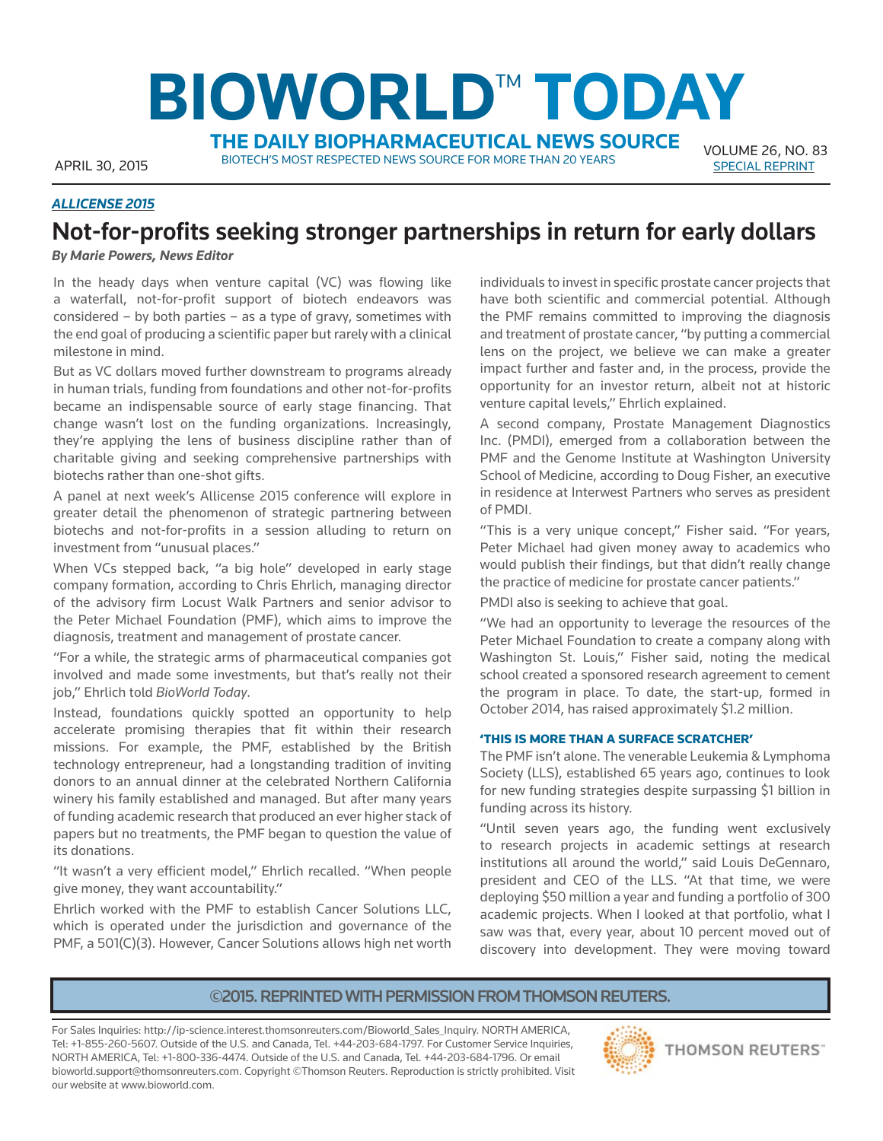# **BIOWORLD™ TODAY THE DAILY BIOPHARMACEUTICAL NEWS SOURCE**

APRIL 30, 2015 BIOTECH'S MOST RESPECTED NEWS SOURCE FOR MORE THAN 20 YEARS SPECIAL REPRINT

VOLUME 26 , NO. 83

### *ALLICENSE 2015*

# **Not-for-profits seeking stronger partnerships in return for early dollars**

*By Marie Powers, News Editor*

In the heady days when venture capital (VC) was flowing like a waterfall, not-for-profit support of biotech endeavors was considered – by both parties – as a type of gravy, sometimes with the end goal of producing a scientific paper but rarely with a clinical milestone in mind.

But as VC dollars moved further downstream to programs already in human trials, funding from foundations and other not-for-profits became an indispensable source of early stage financing. That change wasn't lost on the funding organizations. Increasingly, they're applying the lens of business discipline rather than of charitable giving and seeking comprehensive partnerships with biotechs rather than one-shot gifts.

A panel at next week's Allicense 2015 conference will explore in greater detail the phenomenon of strategic partnering between biotechs and not-for-profits in a session alluding to return on investment from "unusual places."

When VCs stepped back, "a big hole" developed in early stage company formation, according to Chris Ehrlich, managing director of the advisory firm Locust Walk Partners and senior advisor to the Peter Michael Foundation (PMF), which aims to improve the diagnosis, treatment and management of prostate cancer.

"For a while, the strategic arms of pharmaceutical companies got involved and made some investments, but that's really not their job," Ehrlich told *BioWorld Today*.

Instead, foundations quickly spotted an opportunity to help accelerate promising therapies that fit within their research missions. For example, the PMF, established by the British technology entrepreneur, had a longstanding tradition of inviting donors to an annual dinner at the celebrated Northern California winery his family established and managed. But after many years of funding academic research that produced an ever higher stack of papers but no treatments, the PMF began to question the value of its donations.

"It wasn't a very efficient model," Ehrlich recalled. "When people give money, they want accountability."

Ehrlich worked with the PMF to establish Cancer Solutions LLC, which is operated under the jurisdiction and governance of the PMF, a 501(C)(3). However, Cancer Solutions allows high net worth

individuals to invest in specific prostate cancer projects that have both scientific and commercial potential. Although the PMF remains committed to improving the diagnosis and treatment of prostate cancer, "by putting a commercial lens on the project, we believe we can make a greater impact further and faster and, in the process, provide the opportunity for an investor return, albeit not at historic venture capital levels," Ehrlich explained.

A second company, Prostate Management Diagnostics Inc. (PMDI), emerged from a collaboration between the PMF and the Genome Institute at Washington University School of Medicine, according to Doug Fisher, an executive in residence at Interwest Partners who serves as president of PMDI.

"This is a very unique concept," Fisher said. "For years, Peter Michael had given money away to academics who would publish their findings, but that didn't really change the practice of medicine for prostate cancer patients."

PMDI also is seeking to achieve that goal.

"We had an opportunity to leverage the resources of the Peter Michael Foundation to create a company along with Washington St. Louis," Fisher said, noting the medical school created a sponsored research agreement to cement the program in place. To date, the start-up, formed in October 2014, has raised approximately \$1.2 million.

#### **'THIS IS MORE THAN A SURFACE SCRATCHER'**

The PMF isn't alone. The venerable Leukemia & Lymphoma Society (LLS), established 65 years ago, continues to look for new funding strategies despite surpassing \$1 billion in funding across its history.

"Until seven years ago, the funding went exclusively to research projects in academic settings at research institutions all around the world," said Louis DeGennaro, president and CEO of the LLS. "At that time, we were deploying \$50 million a year and funding a portfolio of 300 academic projects. When I looked at that portfolio, what I saw was that, every year, about 10 percent moved out of discovery into development. They were moving toward

## **©2015. REPRINTED WITH PERMISSION FROM THOMSON REUTERS.**

For Sales Inquiries: http://ip-science.interest.thomsonreuters.com/Bioworld\_Sales\_Inquiry. NORTH AMERICA, Tel: +1-855-260-5607. Outside of the U.S. and Canada, Tel. +44-203-684-1797. For Customer Service Inquiries, NORTH AMERICA, Tel: +1-800-336-4474. Outside of the U.S. and Canada, Tel. +44-203-684-1796. Or email bioworld.support@thomsonreuters.com. Copyright ©Thomson Reuters. Reproduction is strictly prohibited. Visit our website at www.bioworld.com.